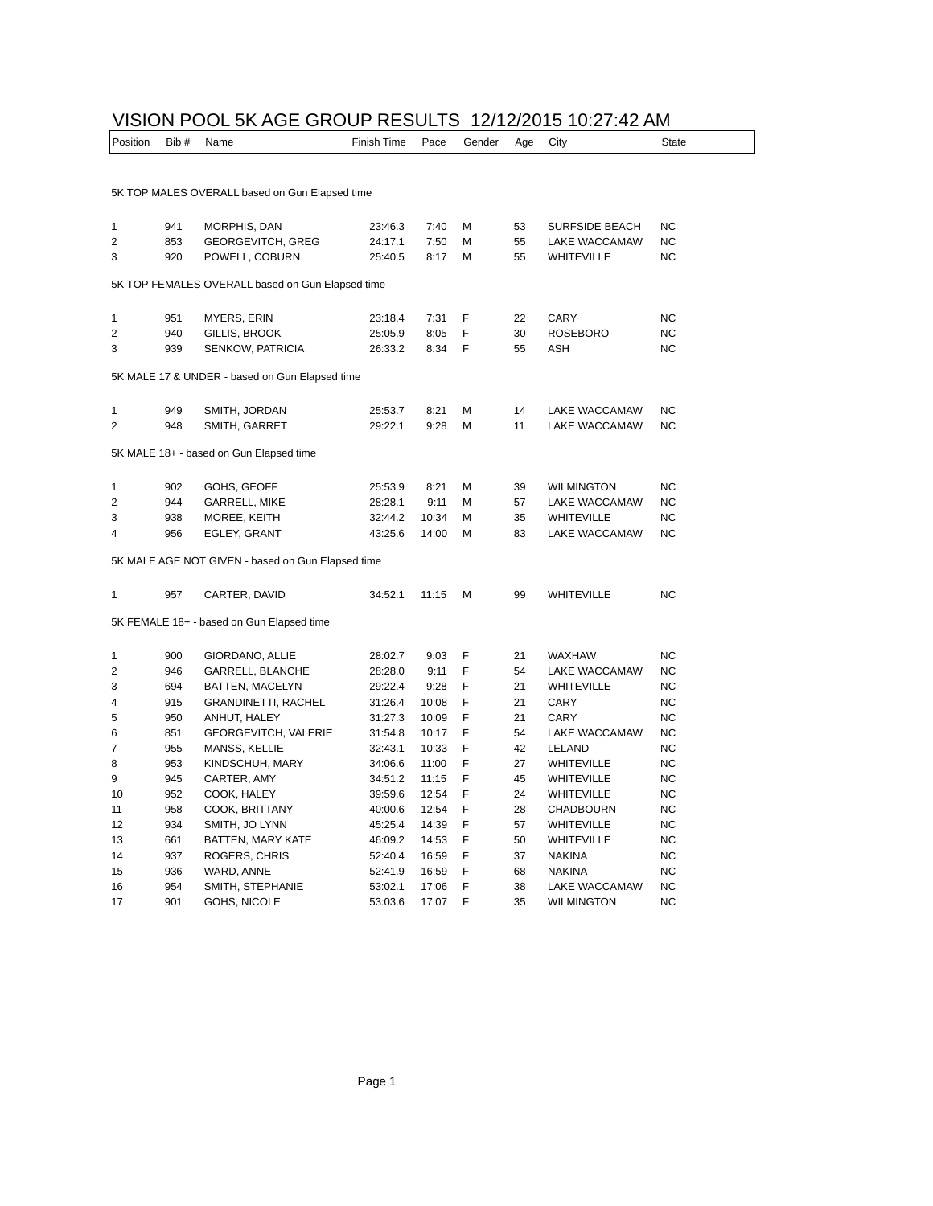## VISION POOL 5K AGE GROUP RESULTS 12/12/2015 10:27:42 AM

| Position                                          | Bib# | Name                        | Finish Time | Pace  | Gender | Age | City                  | <b>State</b> |
|---------------------------------------------------|------|-----------------------------|-------------|-------|--------|-----|-----------------------|--------------|
|                                                   |      |                             |             |       |        |     |                       |              |
| 5K TOP MALES OVERALL based on Gun Elapsed time    |      |                             |             |       |        |     |                       |              |
| 1                                                 | 941  | MORPHIS, DAN                | 23:46.3     | 7:40  | М      | 53  | <b>SURFSIDE BEACH</b> | <b>NC</b>    |
| 2                                                 | 853  | <b>GEORGEVITCH, GREG</b>    | 24:17.1     | 7:50  | М      | 55  | LAKE WACCAMAW         | <b>NC</b>    |
| 3                                                 | 920  | POWELL, COBURN              | 25:40.5     | 8:17  | М      | 55  | WHITEVILLE            | <b>NC</b>    |
| 5K TOP FEMALES OVERALL based on Gun Elapsed time  |      |                             |             |       |        |     |                       |              |
|                                                   |      |                             |             |       |        |     |                       |              |
| 1                                                 | 951  | MYERS, ERIN                 | 23:18.4     | 7:31  | F      | 22  | CARY                  | <b>NC</b>    |
| $\overline{2}$                                    | 940  | GILLIS, BROOK               | 25:05.9     | 8:05  | F      | 30  | <b>ROSEBORO</b>       | <b>NC</b>    |
| 3                                                 | 939  | <b>SENKOW, PATRICIA</b>     | 26:33.2     | 8:34  | F      | 55  | ASH                   | <b>NC</b>    |
| 5K MALE 17 & UNDER - based on Gun Elapsed time    |      |                             |             |       |        |     |                       |              |
| 1                                                 | 949  | SMITH, JORDAN               | 25:53.7     | 8:21  | М      | 14  | LAKE WACCAMAW         | <b>NC</b>    |
| $\overline{2}$                                    | 948  | SMITH, GARRET               | 29:22.1     | 9:28  | М      | 11  | LAKE WACCAMAW         | <b>NC</b>    |
|                                                   |      |                             |             |       |        |     |                       |              |
| 5K MALE 18+ - based on Gun Elapsed time           |      |                             |             |       |        |     |                       |              |
| 1                                                 | 902  | GOHS, GEOFF                 | 25:53.9     | 8:21  | м      | 39  | <b>WILMINGTON</b>     | <b>NC</b>    |
| $\overline{2}$                                    | 944  | <b>GARRELL, MIKE</b>        | 28:28.1     | 9:11  | М      | 57  | LAKE WACCAMAW         | <b>NC</b>    |
| 3                                                 | 938  | MOREE, KEITH                | 32:44.2     | 10:34 | М      | 35  | <b>WHITEVILLE</b>     | <b>NC</b>    |
| 4                                                 | 956  | EGLEY, GRANT                | 43:25.6     | 14:00 | М      | 83  | LAKE WACCAMAW         | <b>NC</b>    |
| 5K MALE AGE NOT GIVEN - based on Gun Elapsed time |      |                             |             |       |        |     |                       |              |
| 1                                                 | 957  | CARTER, DAVID               | 34:52.1     | 11:15 | М      | 99  | <b>WHITEVILLE</b>     | <b>NC</b>    |
|                                                   |      |                             |             |       |        |     |                       |              |
| 5K FEMALE 18+ - based on Gun Elapsed time         |      |                             |             |       |        |     |                       |              |
| 1                                                 | 900  | GIORDANO, ALLIE             | 28:02.7     | 9:03  | F      | 21  | <b>WAXHAW</b>         | <b>NC</b>    |
| 2                                                 | 946  | GARRELL, BLANCHE            | 28:28.0     | 9:11  | F      | 54  | LAKE WACCAMAW         | <b>NC</b>    |
| 3                                                 | 694  | BATTEN, MACELYN             | 29:22.4     | 9:28  | F      | 21  | WHITEVILLE            | <b>NC</b>    |
| 4                                                 | 915  | <b>GRANDINETTI, RACHEL</b>  | 31:26.4     | 10:08 | F      | 21  | CARY                  | <b>NC</b>    |
| 5                                                 | 950  | ANHUT, HALEY                | 31:27.3     | 10:09 | F      | 21  | CARY                  | <b>NC</b>    |
| 6                                                 | 851  | <b>GEORGEVITCH, VALERIE</b> | 31:54.8     | 10:17 | F      | 54  | LAKE WACCAMAW         | <b>NC</b>    |
| 7                                                 | 955  | MANSS, KELLIE               | 32:43.1     | 10:33 | F      | 42  | LELAND                | <b>NC</b>    |
| 8                                                 | 953  | KINDSCHUH, MARY             | 34:06.6     | 11:00 | F      | 27  | <b>WHITEVILLE</b>     | <b>NC</b>    |
| 9                                                 | 945  | CARTER, AMY                 | 34:51.2     | 11:15 | F      | 45  | WHITEVILLE            | <b>NC</b>    |
| 10                                                | 952  | COOK, HALEY                 | 39:59.6     | 12:54 | F      | 24  | WHITEVILLE            | <b>NC</b>    |
| 11                                                | 958  | COOK, BRITTANY              | 40:00.6     | 12:54 | F      | 28  | <b>CHADBOURN</b>      | <b>NC</b>    |
| 12                                                | 934  | SMITH, JO LYNN              | 45:25.4     | 14:39 | F      | 57  | WHITEVILLE            | <b>NC</b>    |
| 13                                                | 661  | BATTEN, MARY KATE           | 46:09.2     | 14:53 | F      | 50  | WHITEVILLE            | <b>NC</b>    |
| 14                                                | 937  | ROGERS, CHRIS               | 52:40.4     | 16:59 | F      | 37  | <b>NAKINA</b>         | <b>NC</b>    |
| 15                                                | 936  | WARD, ANNE                  | 52:41.9     | 16:59 | F      | 68  | <b>NAKINA</b>         | <b>NC</b>    |
| 16                                                | 954  | SMITH, STEPHANIE            | 53:02.1     | 17:06 | F      | 38  | LAKE WACCAMAW         | <b>NC</b>    |
| 17                                                | 901  | GOHS, NICOLE                | 53:03.6     | 17:07 | F      | 35  | <b>WILMINGTON</b>     | <b>NC</b>    |